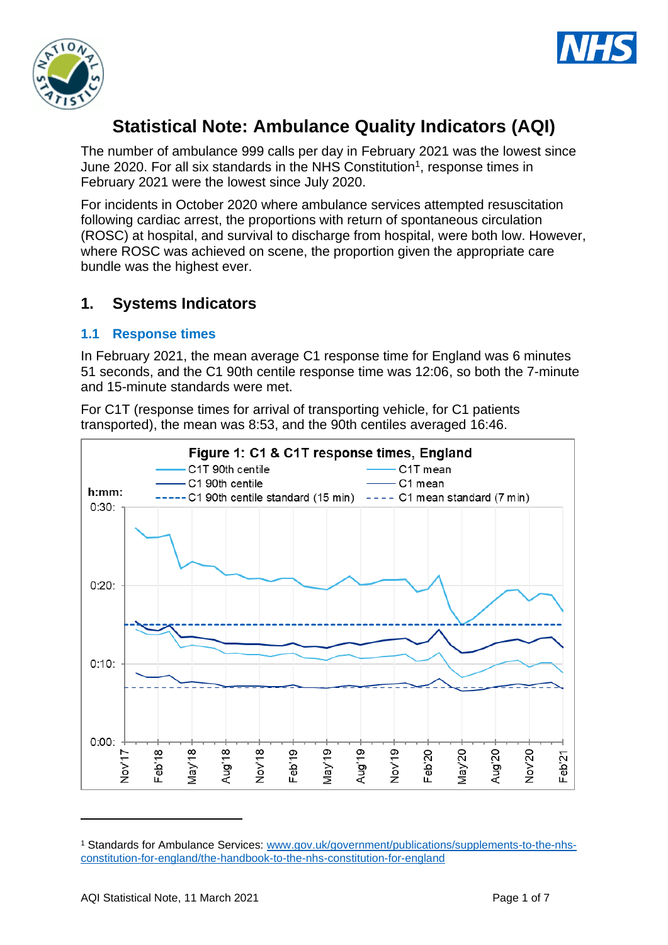



# **Statistical Note: Ambulance Quality Indicators (AQI)**

The number of ambulance 999 calls per day in February 2021 was the lowest since June 2020. For all six standards in the NHS Constitution<sup>1</sup>, response times in February 2021 were the lowest since July 2020.

For incidents in October 2020 where ambulance services attempted resuscitation following cardiac arrest, the proportions with return of spontaneous circulation (ROSC) at hospital, and survival to discharge from hospital, were both low. However, where ROSC was achieved on scene, the proportion given the appropriate care bundle was the highest ever.

# **1. Systems Indicators**

## **1.1 Response times**

In February 2021, the mean average C1 response time for England was 6 minutes 51 seconds, and the C1 90th centile response time was 12:06, so both the 7-minute and 15-minute standards were met.

For C1T (response times for arrival of transporting vehicle, for C1 patients transported), the mean was 8:53, and the 90th centiles averaged 16:46.



<sup>1</sup> Standards for Ambulance Services: www.gov.uk/government/publications/supplements-to-the-nhsconstitution-for-england/the-handbook-to-the-nhs-constitution-for-england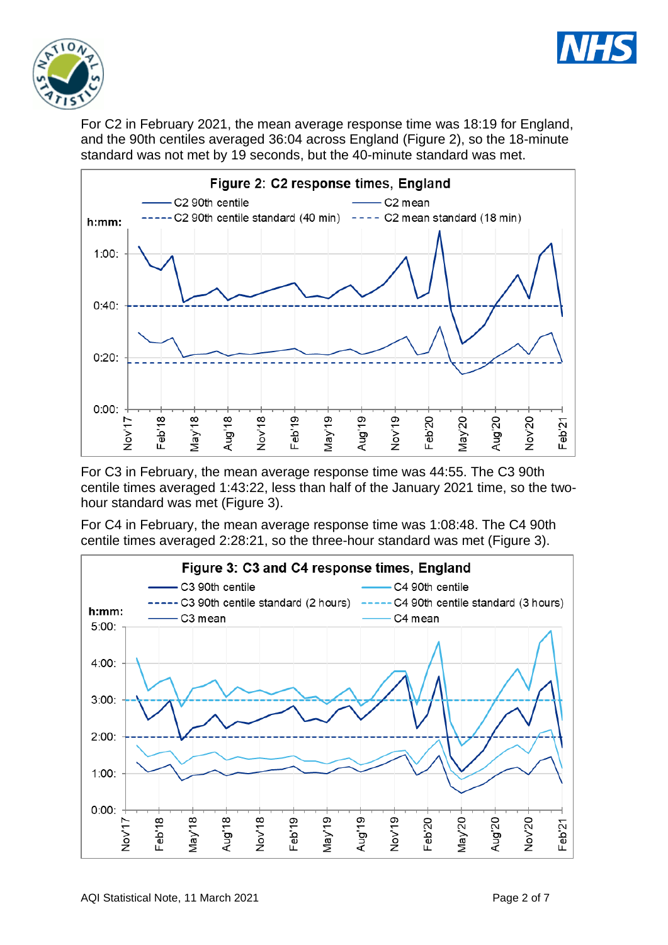



For C2 in February 2021, the mean average response time was 18:19 for England, and the 90th centiles averaged 36:04 across England (Figure 2), so the 18-minute standard was not met by 19 seconds, but the 40-minute standard was met.



For C3 in February, the mean average response time was 44:55. The C3 90th centile times averaged 1:43:22, less than half of the January 2021 time, so the twohour standard was met (Figure 3).

For C4 in February, the mean average response time was 1:08:48. The C4 90th centile times averaged 2:28:21, so the three-hour standard was met (Figure 3).

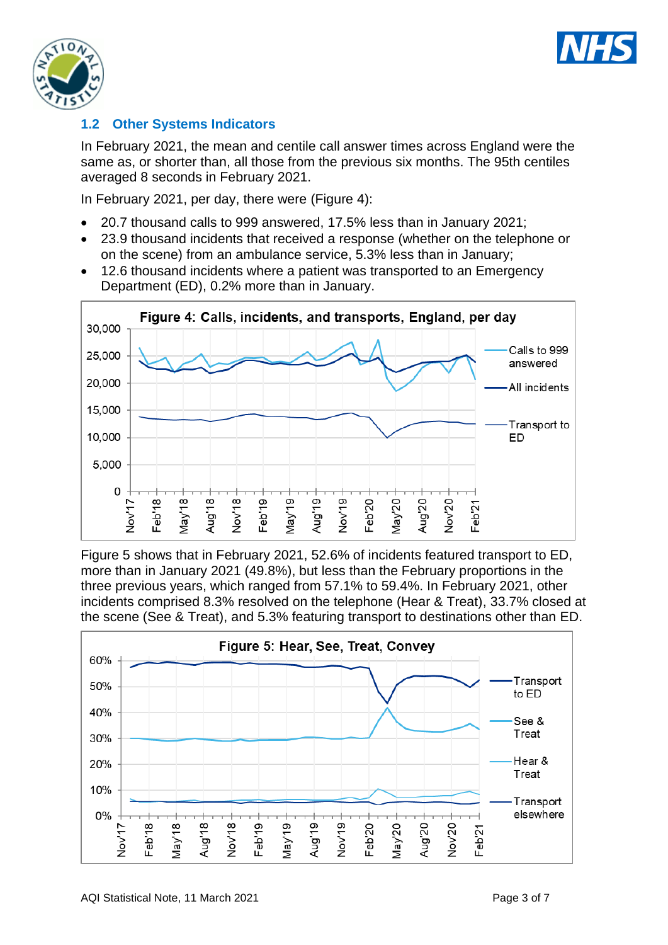



## **1.2 Other Systems Indicators**

In February 2021, the mean and centile call answer times across England were the same as, or shorter than, all those from the previous six months. The 95th centiles averaged 8 seconds in February 2021.

In February 2021, per day, there were (Figure 4):

- 20.7 thousand calls to 999 answered, 17.5% less than in January 2021;
- 23.9 thousand incidents that received a response (whether on the telephone or on the scene) from an ambulance service, 5.3% less than in January;
- 12.6 thousand incidents where a patient was transported to an Emergency Department (ED), 0.2% more than in January.



Figure 5 shows that in February 2021, 52.6% of incidents featured transport to ED, more than in January 2021 (49.8%), but less than the February proportions in the three previous years, which ranged from 57.1% to 59.4%. In February 2021, other incidents comprised 8.3% resolved on the telephone (Hear & Treat), 33.7% closed at the scene (See & Treat), and 5.3% featuring transport to destinations other than ED.

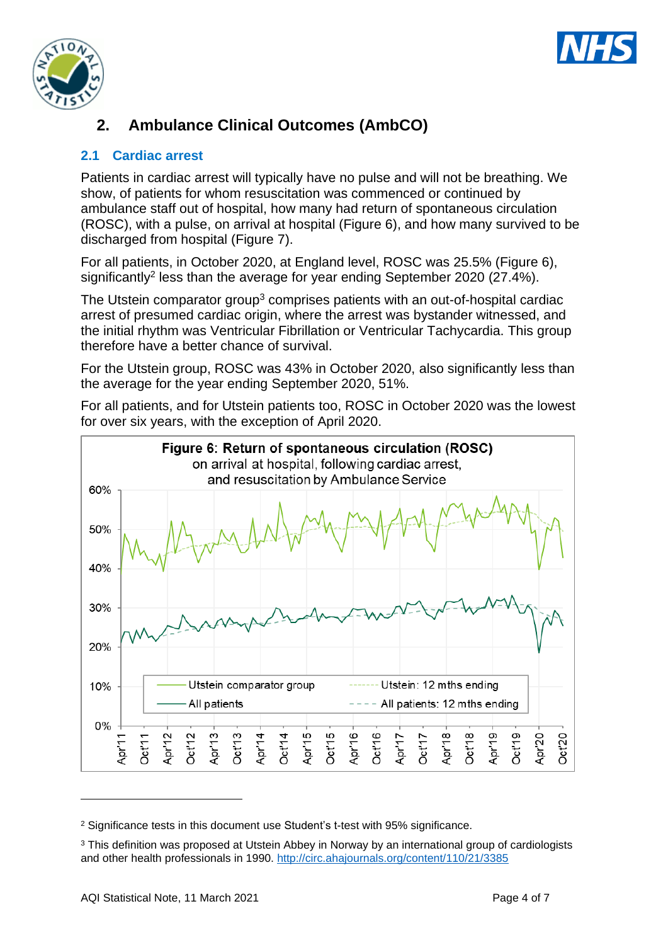



# **2. Ambulance Clinical Outcomes (AmbCO)**

# **2.1 Cardiac arrest**

Patients in cardiac arrest will typically have no pulse and will not be breathing. We show, of patients for whom resuscitation was commenced or continued by ambulance staff out of hospital, how many had return of spontaneous circulation (ROSC), with a pulse, on arrival at hospital (Figure 6), and how many survived to be discharged from hospital (Figure 7).

For all patients, in October 2020, at England level, ROSC was 25.5% (Figure 6), significantly<sup>2</sup> less than the average for year ending September 2020 (27.4%).

The Utstein comparator group<sup>3</sup> comprises patients with an out-of-hospital cardiac arrest of presumed cardiac origin, where the arrest was bystander witnessed, and the initial rhythm was Ventricular Fibrillation or Ventricular Tachycardia. This group therefore have a better chance of survival.

For the Utstein group, ROSC was 43% in October 2020, also significantly less than the average for the year ending September 2020, 51%.

For all patients, and for Utstein patients too, ROSC in October 2020 was the lowest for over six years, with the exception of April 2020.



<sup>2</sup> Significance tests in this document use Student's t-test with 95% significance.

<sup>&</sup>lt;sup>3</sup> This definition was proposed at Utstein Abbey in Norway by an international group of cardiologists and other health professionals in 1990.<http://circ.ahajournals.org/content/110/21/3385>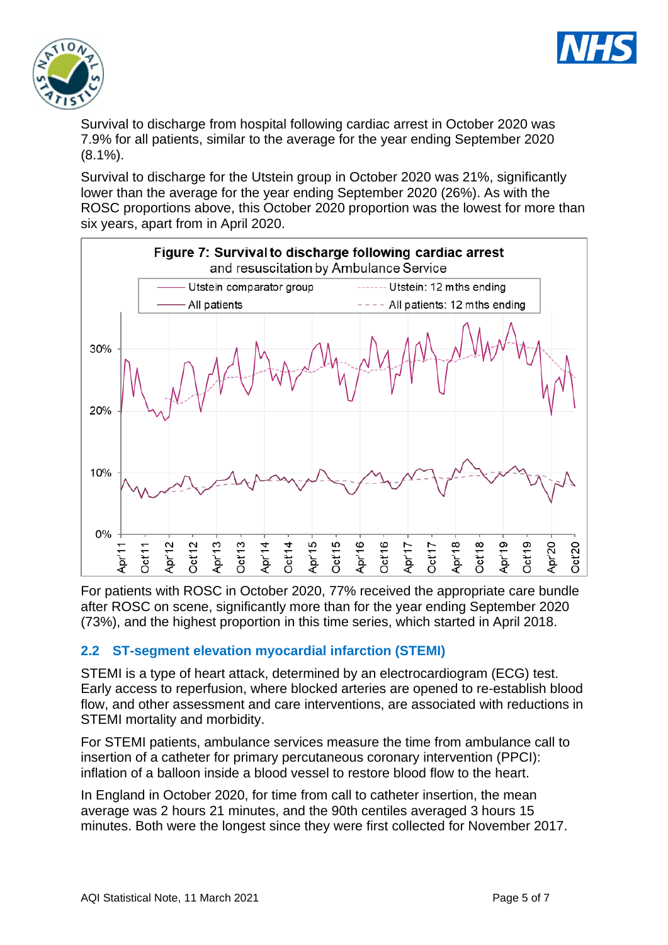



Survival to discharge from hospital following cardiac arrest in October 2020 was 7.9% for all patients, similar to the average for the year ending September 2020 (8.1%).

Survival to discharge for the Utstein group in October 2020 was 21%, significantly lower than the average for the year ending September 2020 (26%). As with the ROSC proportions above, this October 2020 proportion was the lowest for more than six years, apart from in April 2020.



For patients with ROSC in October 2020, 77% received the appropriate care bundle after ROSC on scene, significantly more than for the year ending September 2020 (73%), and the highest proportion in this time series, which started in April 2018.

#### **2.2 ST-segment elevation myocardial infarction (STEMI)**

STEMI is a type of heart attack, determined by an electrocardiogram (ECG) test. Early access to reperfusion, where blocked arteries are opened to re-establish blood flow, and other assessment and care interventions, are associated with reductions in STEMI mortality and morbidity.

For STEMI patients, ambulance services measure the time from ambulance call to insertion of a catheter for primary percutaneous coronary intervention (PPCI): inflation of a balloon inside a blood vessel to restore blood flow to the heart.

In England in October 2020, for time from call to catheter insertion, the mean average was 2 hours 21 minutes, and the 90th centiles averaged 3 hours 15 minutes. Both were the longest since they were first collected for November 2017.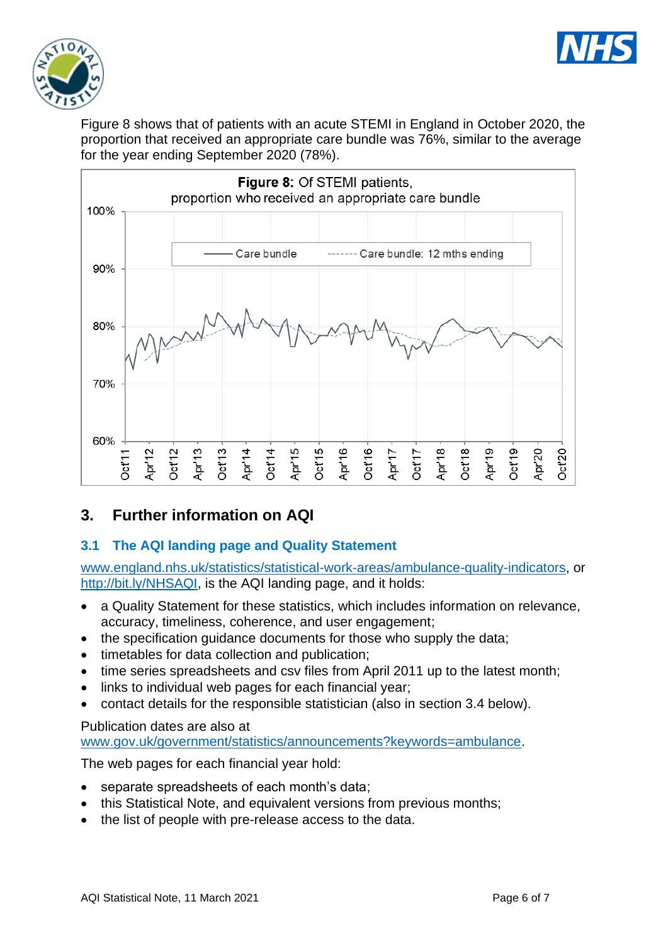



Figure 8 shows that of patients with an acute STEMI in England in October 2020, the proportion that received an appropriate care bundle was 76%, similar to the average for the year ending September 2020 (78%).



# **3. Further information on AQI**

# **3.1 The AQI landing page and Quality Statement**

[www.england.nhs.uk/statistics/statistical-work-areas/ambulance-quality-indicators,](http://www.england.nhs.uk/statistics/statistical-work-areas/ambulance-quality-indicators) or [http://bit.ly/NHSAQI,](http://bit.ly/NHSAQI) is the AQI landing page, and it holds:

- a Quality Statement for these statistics, which includes information on relevance, accuracy, timeliness, coherence, and user engagement;
- the specification quidance documents for those who supply the data;
- timetables for data collection and publication;
- time series spreadsheets and csv files from April 2011 up to the latest month;
- links to individual web pages for each financial year;
- contact details for the responsible statistician (also in section 3.4 below).

#### Publication dates are also at

[www.gov.uk/government/statistics/announcements?keywords=ambulance.](http://www.gov.uk/government/statistics/announcements?keywords=ambulance)

The web pages for each financial year hold:

- separate spreadsheets of each month's data;
- this Statistical Note, and equivalent versions from previous months;
- the list of people with pre-release access to the data.